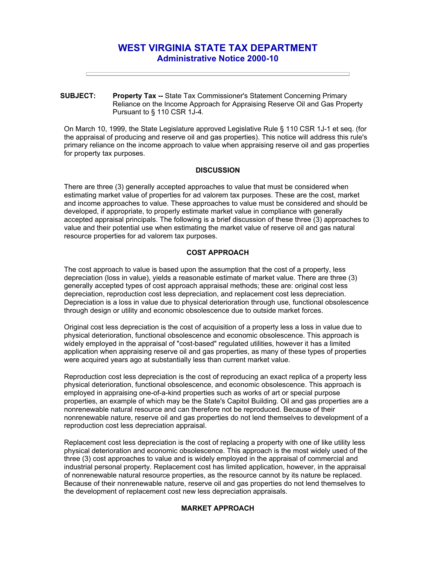# **WEST VIRGINIA STATE TAX DEPARTMENT Administrative Notice 2000-10**

**SUBJECT: Property Tax --** State Tax Commissioner's Statement Concerning Primary Reliance on the Income Approach for Appraising Reserve Oil and Gas Property Pursuant to § 110 CSR 1J-4.

On March 10, 1999, the State Legislature approved Legislative Rule § 110 CSR 1J-1 et seq. (for the appraisal of producing and reserve oil and gas properties). This notice will address this rule's primary reliance on the income approach to value when appraising reserve oil and gas properties for property tax purposes.

### **DISCUSSION**

There are three (3) generally accepted approaches to value that must be considered when estimating market value of properties for ad valorem tax purposes. These are the cost, market and income approaches to value. These approaches to value must be considered and should be developed, if appropriate, to properly estimate market value in compliance with generally accepted appraisal principals. The following is a brief discussion of these three (3) approaches to value and their potential use when estimating the market value of reserve oil and gas natural resource properties for ad valorem tax purposes.

## **COST APPROACH**

The cost approach to value is based upon the assumption that the cost of a property, less depreciation (loss in value), yields a reasonable estimate of market value. There are three (3) generally accepted types of cost approach appraisal methods; these are: original cost less depreciation, reproduction cost less depreciation, and replacement cost less depreciation. Depreciation is a loss in value due to physical deterioration through use, functional obsolescence through design or utility and economic obsolescence due to outside market forces.

Original cost less depreciation is the cost of acquisition of a property less a loss in value due to physical deterioration, functional obsolescence and economic obsolescence. This approach is widely employed in the appraisal of "cost-based" regulated utilities, however it has a limited application when appraising reserve oil and gas properties, as many of these types of properties were acquired years ago at substantially less than current market value.

Reproduction cost less depreciation is the cost of reproducing an exact replica of a property less physical deterioration, functional obsolescence, and economic obsolescence. This approach is employed in appraising one-of-a-kind properties such as works of art or special purpose properties, an example of which may be the State's Capitol Building. Oil and gas properties are a nonrenewable natural resource and can therefore not be reproduced. Because of their nonrenewable nature, reserve oil and gas properties do not lend themselves to development of a reproduction cost less depreciation appraisal.

Replacement cost less depreciation is the cost of replacing a property with one of like utility less physical deterioration and economic obsolescence. This approach is the most widely used of the three (3) cost approaches to value and is widely employed in the appraisal of commercial and industrial personal property. Replacement cost has limited application, however, in the appraisal of nonrenewable natural resource properties, as the resource cannot by its nature be replaced. Because of their nonrenewable nature, reserve oil and gas properties do not lend themselves to the development of replacement cost new less depreciation appraisals.

## **MARKET APPROACH**